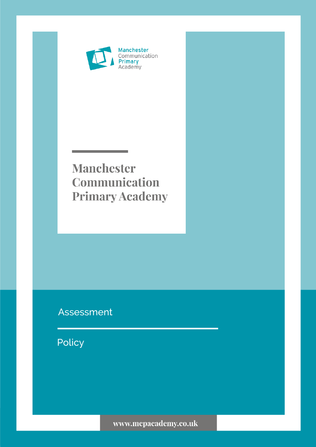

# **Manchester** Communication **Primary Academy**

## Assessment

Policy

www.mcpacademy.co.uk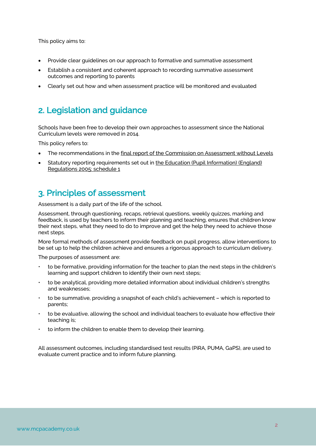This policy aims to:

- Provide clear guidelines on our approach to formative and summative assessment
- Establish a consistent and coherent approach to recording summative assessment outcomes and reporting to parents
- Clearly set out how and when assessment practice will be monitored and evaluated

### 2. Legislation and guidance

Schools have been free to develop their own approaches to assessment since the National Curriculum levels were removed in 2014.

This policy refers to:

- The recommendations in the final report of the Commission on Assessment without Levels
- Statutory reporting requirements set out in the Education (Pupil Information) (England) Regulations 2005: schedule 1

### 3. Principles of assessment

Assessment is a daily part of the life of the school.

Assessment, through questioning, recaps, retrieval questions, weekly quizzes, marking and feedback, is used by teachers to inform their planning and teaching, ensures that children know their next steps, what they need to do to improve and get the help they need to achieve those next steps.

More formal methods of assessment provide feedback on pupil progress, allow interventions to be set up to help the children achieve and ensures a rigorous approach to curriculum delivery.

The purposes of assessment are:

- to be formative, providing information for the teacher to plan the next steps in the children's learning and support children to identify their own next steps;
- to be analytical, providing more detailed information about individual children's strengths and weaknesses;
- to be summative, providing a snapshot of each child's achievement which is reported to parents;
- to be evaluative, allowing the school and individual teachers to evaluate how effective their teaching is;
- to inform the children to enable them to develop their learning.

All assessment outcomes, including standardised test results (PiRA, PUMA, GaPS), are used to evaluate current practice and to inform future planning.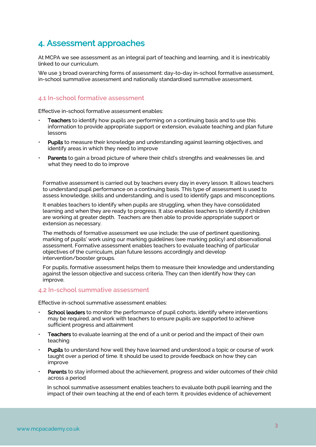### 4. Assessment approaches

At MCPA we see assessment as an integral part of teaching and learning, and it is inextricably linked to our curriculum.

We use 3 broad overarching forms of assessment: day-to-day in-school formative assessment, in-school summative assessment and nationally standardised summative assessment.

#### **4.1 In-school formative assessment**

Effective in-school formative assessment enables:

- Teachers to identify how pupils are performing on a continuing basis and to use this information to provide appropriate support or extension, evaluate teaching and plan future lessons
- Pupils to measure their knowledge and understanding against learning objectives, and identify areas in which they need to improve
- Parents to gain a broad picture of where their child's strengths and weaknesses lie, and what they need to do to improve

Formative assessment is carried out by teachers every day in every lesson. It allows teachers to understand pupil performance on a continuing basis. This type of assessment is used to assess knowledge, skills and understanding, and is used to identify gaps and misconceptions.

It enables teachers to identify when pupils are struggling, when they have consolidated learning and when they are ready to progress. It also enables teachers to identify if children are working at greater depth. Teachers are then able to provide appropriate support or extension as necessary.

The methods of formative assessment we use include; the use of pertinent questioning, marking of pupils' work using our marking guidelines (see marking policy) and observational assessment. Formative assessment enables teachers to evaluate teaching of particular objectives of the curriculum, plan future lessons accordingly and develop intervention/booster groups.

For pupils, formative assessment helps them to measure their knowledge and understanding against the lesson objective and success criteria. They can then identify how they can improve.

#### **4.2 In-school summative assessment**

Effective in-school summative assessment enables:

- School leaders to monitor the performance of pupil cohorts, identify where interventions may be required, and work with teachers to ensure pupils are supported to achieve sufficient progress and attainment
- Teachers to evaluate learning at the end of a unit or period and the impact of their own teaching
- Pupils to understand how well they have learned and understood a topic or course of work taught over a period of time. It should be used to provide feedback on how they can improve
- Parents to stay informed about the achievement, progress and wider outcomes of their child across a period

In school summative assessment enables teachers to evaluate both pupil learning and the impact of their own teaching at the end of each term. It provides evidence of achievement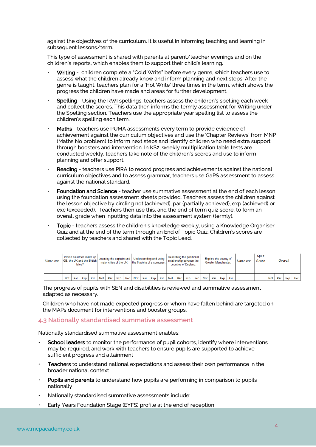against the objectives of the curriculum. It is useful in informing teaching and learning in subsequent lessons/term.

This type of assessment is shared with parents at parent/teacher evenings and on the children's reports, which enables them to support their child's learning.

- Writing children complete a "Cold Write" before every genre, which teachers use to assess what the children already know and inform planning and next steps. After the genre is taught, teachers plan for a 'Hot Write' three times in the term, which shows the progress the children have made and areas for further development.
- Spelling Using the RWI spellings, teachers assess the children's spelling each week and collect the scores. This data then informs the termly assessment for Writing under the Spelling section. Teachers use the appropriate year spelling list to assess the children's spelling each term.
- Maths teachers use PUMA assessments every term to provide evidence of achievement against the curriculum objectives and use the 'Chapter Reviews' from MNP (Maths No problem) to inform next steps and identify children who need extra support through boosters and intervention. In KS2, weekly multiplication table tests are conducted weekly, teachers take note of the children's scores and use to inform planning and offer support.
- Reading teachers use PiRA to record progress and achievements against the national curriculum objectives and to assess grammar, teachers use GaPS assessment to assess against the national standard.
- Foundation and Science teacher use summative assessment at the end of each lesson using the foundation assessment sheets provided. Teachers assess the children against the lesson objective by circling not (achieved), par (partially achieved), exp (achieved) or exc (exceeded). Teachers then use this, and the end of term quiz score, to form an overall grade when inputting data into the assessment system (termly).
- Topic teachers assess the children's knowledge weekly, using a Knowledge Organiser Quiz and at the end of the term through an End of Topic Quiz. Children's scores are collected by teachers and shared with the Topic Lead.

| Name can GB, the UK and the British |            |     | Isles? |     | Which countries make up   Locating the capitals and   Understanding and using $\frac{1}{2}$ |     |     |     | major cities of the UK. the 8 points of a compass. |  |     |     | Describing the positional<br>relationship between the<br>counties of England. |                 |  |     | Explore the county of<br>Greater Manchester. |       |     |     | Name can | Quiz<br>Score | Overall    |     |     |     |
|-------------------------------------|------------|-----|--------|-----|---------------------------------------------------------------------------------------------|-----|-----|-----|----------------------------------------------------|--|-----|-----|-------------------------------------------------------------------------------|-----------------|--|-----|----------------------------------------------|-------|-----|-----|----------|---------------|------------|-----|-----|-----|
|                                     | <b>Not</b> | Par | Exp    | Exc | <b>Not</b>                                                                                  | Par | Exp | Exc | Not Par                                            |  | Exp | Exc |                                                                               | Not   Par   Exp |  | Exc | <b>Not</b>                                   | Par I | Exp | Exc |          |               | <b>Not</b> | Par | Exp | Exc |

The progress of pupils with SEN and disabilities is reviewed and summative assessment adapted as necessary.

Children who have not made expected progress or whom have fallen behind are targeted on the MAPs document for interventions and booster groups.

#### **4.3 Nationally standardised summative assessment**

Nationally standardised summative assessment enables:

- **School leaders** to monitor the performance of pupil cohorts, identify where interventions may be required, and work with teachers to ensure pupils are supported to achieve sufficient progress and attainment
- Teachers to understand national expectations and assess their own performance in the broader national context
- Pupils and parents to understand how pupils are performing in comparison to pupils nationally
- Nationally standardised summative assessments include:
- Early Years Foundation Stage (EYFS) profile at the end of reception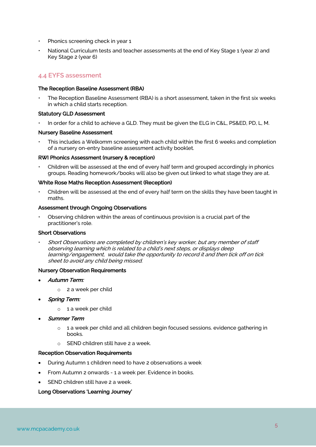- Phonics screening check in year 1
- National Curriculum tests and teacher assessments at the end of Key Stage 1 (year 2) and Key Stage 2 (year 6)

### **4.4 EYFS assessment**

#### The Reception Baseline Assessment (RBA)

• The Reception Baseline Assessment (RBA) is a short assessment, taken in the first six weeks in which a child starts reception.

#### Statutory GLD Assessment

In order for a child to achieve a GLD. They must be given the ELG in C&L, PS&ED, PD, L, M.

#### Nursery Baseline Assessment

• This includes a Welkomm screening with each child within the first 6 weeks and completion of a nursery on-entry baseline assessment activity booklet.

#### RWI Phonics Assessment (nursery & reception)

• Children will be assessed at the end of every half term and grouped accordingly in phonics groups. Reading homework/books will also be given out linked to what stage they are at.

#### White Rose Maths Reception Assessment (Reception)

• Children will be assessed at the end of every half term on the skills they have been taught in maths.

#### Assessment through Ongoing Observations

• Observing children within the areas of continuous provision is a crucial part of the practitioner's role.

#### Short Observations

• Short Observations are completed by children's key worker, but any member of staff observing learning which is related to a child's next steps, or displays deep learning/engagement, would take the opportunity to record it and then tick off on tick sheet to avoid any child being missed.

#### Nursery Observation Requirements

- Autumn Term:
	- o 2 a week per child
- Spring Term:
	- o 1 a week per child
- **Summer Term** 
	- o 1 a week per child and all children begin focused sessions. evidence gathering in books.
	- o SEND children still have 2 a week.

#### Reception Observation Requirements

- During Autumn 1 children need to have 2 observations a week
- From Autumn 2 onwards 1 a week per. Evidence in books.
- SEND children still have 2 a week.

#### Long Observations 'Learning Journey'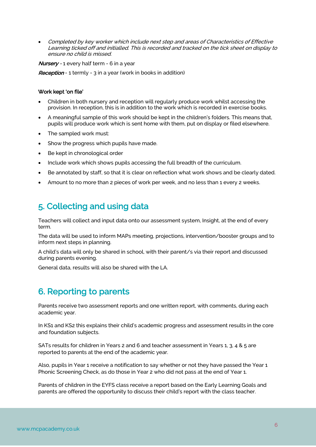• Completed by key worker which include next step and areas of Characteristics of Effective Learning ticked off and initialled. This is recorded and tracked on the tick sheet on display to ensure no child is missed.

**Nursery** - 1 every half term - 6 in a year

**Reception** - 1 termly - 3 in a year (work in books in addition)

#### Work kept 'on file'

- Children in both nursery and reception will regularly produce work whilst accessing the provision. In reception, this is in addition to the work which is recorded in exercise books.
- A meaningful sample of this work should be kept in the children's folders. This means that, pupils will produce work which is sent home with them, put on display or filed elsewhere.
- The sampled work must:
- Show the progress which pupils have made.
- Be kept in chronological order
- Include work which shows pupils accessing the full breadth of the curriculum.
- Be annotated by staff, so that it is clear on reflection what work shows and be clearly dated.
- Amount to no more than 2 pieces of work per week, and no less than 1 every 2 weeks.

### 5. Collecting and using data

Teachers will collect and input data onto our assessment system, Insight, at the end of every term.

The data will be used to inform MAPs meeting, projections, intervention/booster groups and to inform next steps in planning.

A child's data will only be shared in school, with their parent/s via their report and discussed during parents evening.

General data, results will also be shared with the LA.

### 6. Reporting to parents

Parents receive two assessment reports and one written report, with comments, during each academic year.

In KS1 and KS2 this explains their child's academic progress and assessment results in the core and foundation subjects.

SATs results for children in Years 2 and 6 and teacher assessment in Years 1, 3, 4 & 5 are reported to parents at the end of the academic year.

Also, pupils in Year 1 receive a notification to say whether or not they have passed the Year 1 Phonic Screening Check, as do those in Year 2 who did not pass at the end of Year 1.

Parents of children in the EYFS class receive a report based on the Early Learning Goals and parents are offered the opportunity to discuss their child's report with the class teacher.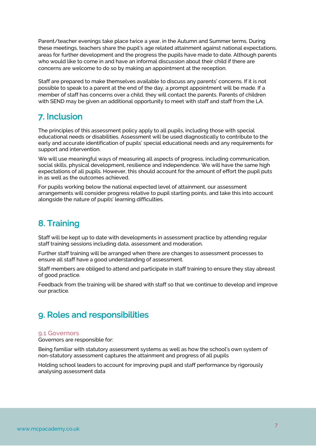Parent/teacher evenings take place twice a year, in the Autumn and Summer terms. During these meetings, teachers share the pupil's age related attainment against national expectations, areas for further development and the progress the pupils have made to date. Although parents who would like to come in and have an informal discussion about their child if there are concerns are welcome to do so by making an appointment at the reception.

Staff are prepared to make themselves available to discuss any parents' concerns. If it is not possible to speak to a parent at the end of the day, a prompt appointment will be made. If a member of staff has concerns over a child, they will contact the parents. Parents of children with SEND may be given an additional opportunity to meet with staff and staff from the LA.

### 7. Inclusion

The principles of this assessment policy apply to all pupils, including those with special educational needs or disabilities. Assessment will be used diagnostically to contribute to the early and accurate identification of pupils' special educational needs and any requirements for support and intervention.

We will use meaningful ways of measuring all aspects of progress, including communication, social skills, physical development, resilience and independence. We will have the same high expectations of all pupils. However, this should account for the amount of effort the pupil puts in as well as the outcomes achieved.

For pupils working below the national expected level of attainment, our assessment arrangements will consider progress relative to pupil starting points, and take this into account alongside the nature of pupils' learning difficulties.

### 8. Training

Staff will be kept up to date with developments in assessment practice by attending regular staff training sessions including data, assessment and moderation.

Further staff training will be arranged when there are changes to assessment processes to ensure all staff have a good understanding of assessment.

Staff members are obliged to attend and participate in staff training to ensure they stay abreast of good practice.

Feedback from the training will be shared with staff so that we continue to develop and improve our practice.

### 9. Roles and responsibilities

#### **9.1 Governors**

Governors are responsible for:

Being familiar with statutory assessment systems as well as how the school's own system of non-statutory assessment captures the attainment and progress of all pupils

Holding school leaders to account for improving pupil and staff performance by rigorously analysing assessment data